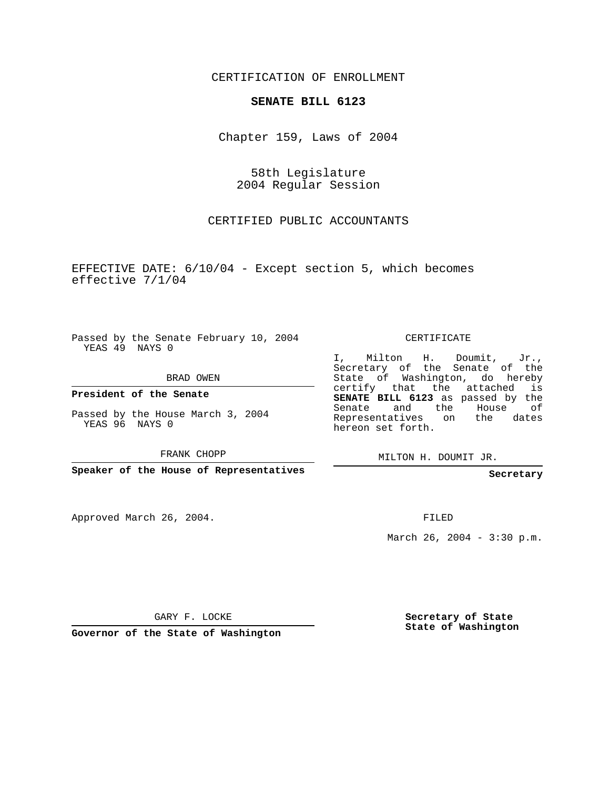CERTIFICATION OF ENROLLMENT

## **SENATE BILL 6123**

Chapter 159, Laws of 2004

58th Legislature 2004 Regular Session

CERTIFIED PUBLIC ACCOUNTANTS

EFFECTIVE DATE: 6/10/04 - Except section 5, which becomes effective 7/1/04

Passed by the Senate February 10, 2004 YEAS 49 NAYS 0

BRAD OWEN

**President of the Senate**

Passed by the House March 3, 2004 YEAS 96 NAYS 0

FRANK CHOPP

**Speaker of the House of Representatives**

Approved March 26, 2004.

CERTIFICATE

I, Milton H. Doumit, Jr., Secretary of the Senate of the State of Washington, do hereby certify that the attached is **SENATE BILL 6123** as passed by the Senate and the House of Representatives on the dates hereon set forth.

MILTON H. DOUMIT JR.

**Secretary**

FILED

March 26, 2004 - 3:30 p.m.

GARY F. LOCKE

**Governor of the State of Washington**

**Secretary of State State of Washington**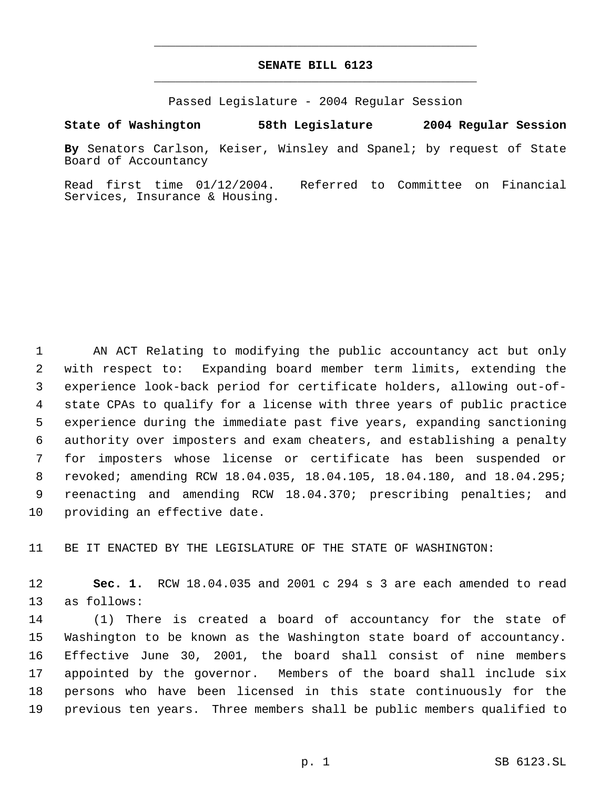## **SENATE BILL 6123** \_\_\_\_\_\_\_\_\_\_\_\_\_\_\_\_\_\_\_\_\_\_\_\_\_\_\_\_\_\_\_\_\_\_\_\_\_\_\_\_\_\_\_\_\_

\_\_\_\_\_\_\_\_\_\_\_\_\_\_\_\_\_\_\_\_\_\_\_\_\_\_\_\_\_\_\_\_\_\_\_\_\_\_\_\_\_\_\_\_\_

Passed Legislature - 2004 Regular Session

**State of Washington 58th Legislature 2004 Regular Session**

**By** Senators Carlson, Keiser, Winsley and Spanel; by request of State Board of Accountancy

Read first time 01/12/2004. Referred to Committee on Financial Services, Insurance & Housing.

 AN ACT Relating to modifying the public accountancy act but only with respect to: Expanding board member term limits, extending the experience look-back period for certificate holders, allowing out-of- state CPAs to qualify for a license with three years of public practice experience during the immediate past five years, expanding sanctioning authority over imposters and exam cheaters, and establishing a penalty for imposters whose license or certificate has been suspended or revoked; amending RCW 18.04.035, 18.04.105, 18.04.180, and 18.04.295; reenacting and amending RCW 18.04.370; prescribing penalties; and providing an effective date.

BE IT ENACTED BY THE LEGISLATURE OF THE STATE OF WASHINGTON:

 **Sec. 1.** RCW 18.04.035 and 2001 c 294 s 3 are each amended to read as follows:

 (1) There is created a board of accountancy for the state of Washington to be known as the Washington state board of accountancy. Effective June 30, 2001, the board shall consist of nine members appointed by the governor. Members of the board shall include six persons who have been licensed in this state continuously for the previous ten years. Three members shall be public members qualified to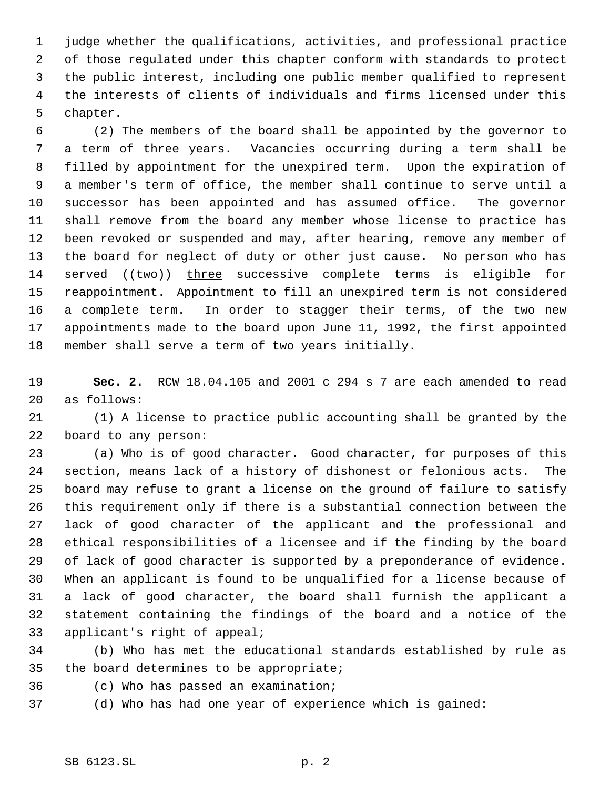judge whether the qualifications, activities, and professional practice of those regulated under this chapter conform with standards to protect the public interest, including one public member qualified to represent the interests of clients of individuals and firms licensed under this chapter.

 (2) The members of the board shall be appointed by the governor to a term of three years. Vacancies occurring during a term shall be filled by appointment for the unexpired term. Upon the expiration of a member's term of office, the member shall continue to serve until a successor has been appointed and has assumed office. The governor shall remove from the board any member whose license to practice has been revoked or suspended and may, after hearing, remove any member of the board for neglect of duty or other just cause. No person who has 14 served  $((two))$  three successive complete terms is eligible for reappointment. Appointment to fill an unexpired term is not considered a complete term. In order to stagger their terms, of the two new appointments made to the board upon June 11, 1992, the first appointed member shall serve a term of two years initially.

 **Sec. 2.** RCW 18.04.105 and 2001 c 294 s 7 are each amended to read as follows:

 (1) A license to practice public accounting shall be granted by the board to any person:

 (a) Who is of good character. Good character, for purposes of this section, means lack of a history of dishonest or felonious acts. The board may refuse to grant a license on the ground of failure to satisfy this requirement only if there is a substantial connection between the lack of good character of the applicant and the professional and ethical responsibilities of a licensee and if the finding by the board of lack of good character is supported by a preponderance of evidence. When an applicant is found to be unqualified for a license because of a lack of good character, the board shall furnish the applicant a statement containing the findings of the board and a notice of the applicant's right of appeal;

 (b) Who has met the educational standards established by rule as the board determines to be appropriate;

(c) Who has passed an examination;

(d) Who has had one year of experience which is gained: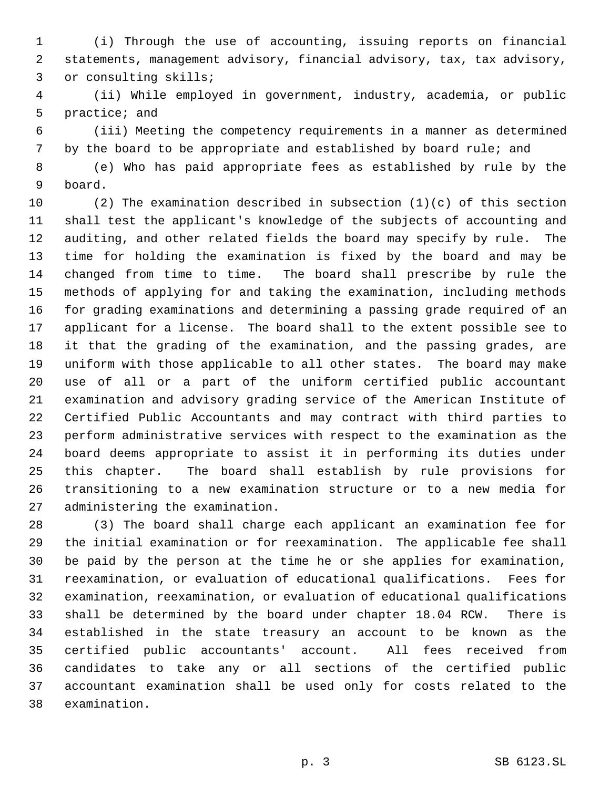(i) Through the use of accounting, issuing reports on financial statements, management advisory, financial advisory, tax, tax advisory, or consulting skills;

 (ii) While employed in government, industry, academia, or public practice; and

 (iii) Meeting the competency requirements in a manner as determined by the board to be appropriate and established by board rule; and

 (e) Who has paid appropriate fees as established by rule by the board.

10 (2) The examination described in subsection  $(1)(c)$  of this section shall test the applicant's knowledge of the subjects of accounting and auditing, and other related fields the board may specify by rule. The time for holding the examination is fixed by the board and may be changed from time to time. The board shall prescribe by rule the methods of applying for and taking the examination, including methods for grading examinations and determining a passing grade required of an applicant for a license. The board shall to the extent possible see to it that the grading of the examination, and the passing grades, are uniform with those applicable to all other states. The board may make use of all or a part of the uniform certified public accountant examination and advisory grading service of the American Institute of Certified Public Accountants and may contract with third parties to perform administrative services with respect to the examination as the board deems appropriate to assist it in performing its duties under this chapter. The board shall establish by rule provisions for transitioning to a new examination structure or to a new media for administering the examination.

 (3) The board shall charge each applicant an examination fee for the initial examination or for reexamination. The applicable fee shall be paid by the person at the time he or she applies for examination, reexamination, or evaluation of educational qualifications. Fees for examination, reexamination, or evaluation of educational qualifications shall be determined by the board under chapter 18.04 RCW. There is established in the state treasury an account to be known as the certified public accountants' account. All fees received from candidates to take any or all sections of the certified public accountant examination shall be used only for costs related to the examination.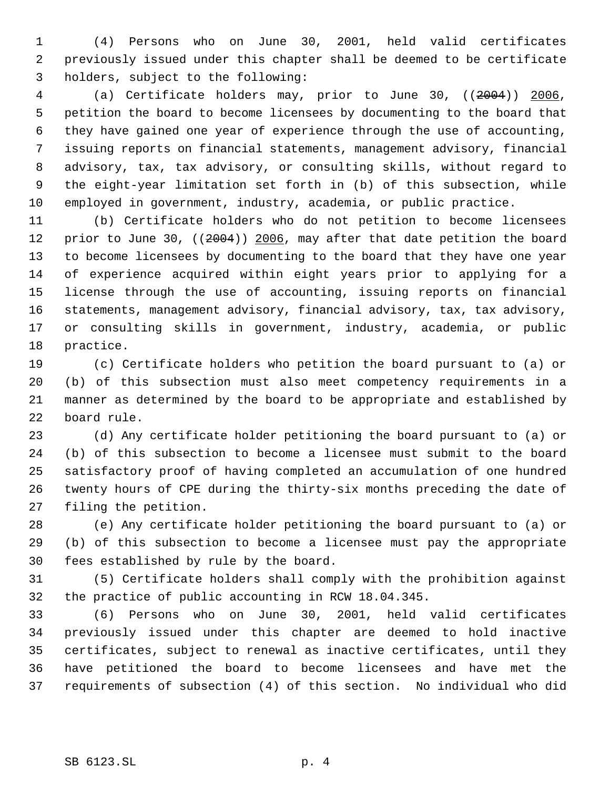(4) Persons who on June 30, 2001, held valid certificates previously issued under this chapter shall be deemed to be certificate holders, subject to the following:

 (a) Certificate holders may, prior to June 30, ((2004)) 2006, petition the board to become licensees by documenting to the board that they have gained one year of experience through the use of accounting, issuing reports on financial statements, management advisory, financial advisory, tax, tax advisory, or consulting skills, without regard to the eight-year limitation set forth in (b) of this subsection, while employed in government, industry, academia, or public practice.

 (b) Certificate holders who do not petition to become licensees 12 prior to June 30, ((2004)) 2006, may after that date petition the board to become licensees by documenting to the board that they have one year of experience acquired within eight years prior to applying for a license through the use of accounting, issuing reports on financial statements, management advisory, financial advisory, tax, tax advisory, or consulting skills in government, industry, academia, or public practice.

 (c) Certificate holders who petition the board pursuant to (a) or (b) of this subsection must also meet competency requirements in a manner as determined by the board to be appropriate and established by board rule.

 (d) Any certificate holder petitioning the board pursuant to (a) or (b) of this subsection to become a licensee must submit to the board satisfactory proof of having completed an accumulation of one hundred twenty hours of CPE during the thirty-six months preceding the date of filing the petition.

 (e) Any certificate holder petitioning the board pursuant to (a) or (b) of this subsection to become a licensee must pay the appropriate fees established by rule by the board.

 (5) Certificate holders shall comply with the prohibition against the practice of public accounting in RCW 18.04.345.

 (6) Persons who on June 30, 2001, held valid certificates previously issued under this chapter are deemed to hold inactive certificates, subject to renewal as inactive certificates, until they have petitioned the board to become licensees and have met the requirements of subsection (4) of this section. No individual who did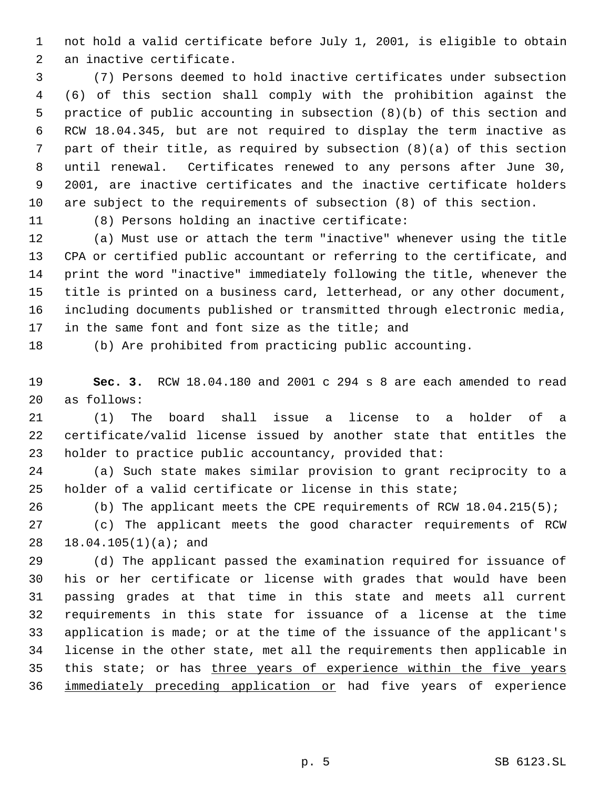not hold a valid certificate before July 1, 2001, is eligible to obtain an inactive certificate.

 (7) Persons deemed to hold inactive certificates under subsection (6) of this section shall comply with the prohibition against the practice of public accounting in subsection (8)(b) of this section and RCW 18.04.345, but are not required to display the term inactive as part of their title, as required by subsection (8)(a) of this section until renewal. Certificates renewed to any persons after June 30, 2001, are inactive certificates and the inactive certificate holders are subject to the requirements of subsection (8) of this section.

(8) Persons holding an inactive certificate:

 (a) Must use or attach the term "inactive" whenever using the title CPA or certified public accountant or referring to the certificate, and print the word "inactive" immediately following the title, whenever the title is printed on a business card, letterhead, or any other document, including documents published or transmitted through electronic media, 17 in the same font and font size as the title; and

(b) Are prohibited from practicing public accounting.

 **Sec. 3.** RCW 18.04.180 and 2001 c 294 s 8 are each amended to read as follows:

 (1) The board shall issue a license to a holder of a certificate/valid license issued by another state that entitles the holder to practice public accountancy, provided that:

 (a) Such state makes similar provision to grant reciprocity to a holder of a valid certificate or license in this state;

(b) The applicant meets the CPE requirements of RCW 18.04.215(5);

 (c) The applicant meets the good character requirements of RCW 18.04.105(1)(a); and

 (d) The applicant passed the examination required for issuance of his or her certificate or license with grades that would have been passing grades at that time in this state and meets all current requirements in this state for issuance of a license at the time application is made; or at the time of the issuance of the applicant's license in the other state, met all the requirements then applicable in this state; or has three years of experience within the five years 36 immediately preceding application or had five years of experience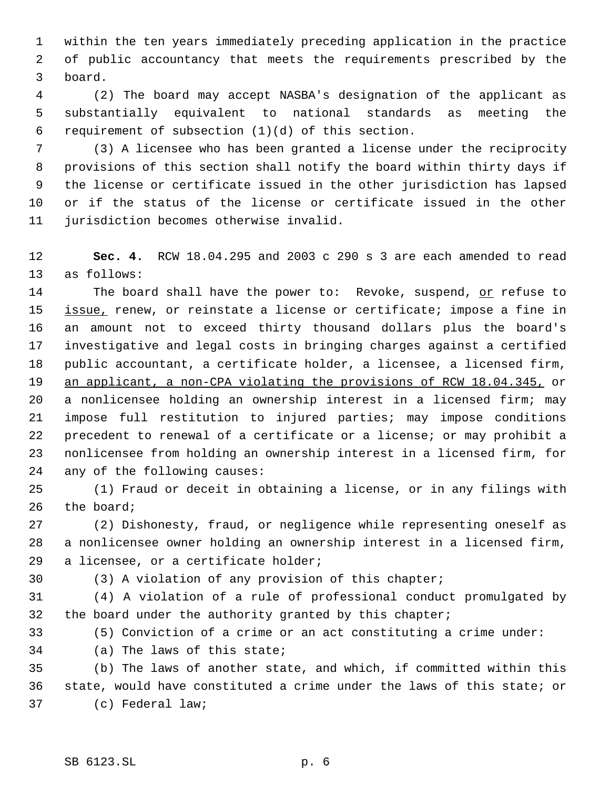within the ten years immediately preceding application in the practice of public accountancy that meets the requirements prescribed by the board.

 (2) The board may accept NASBA's designation of the applicant as substantially equivalent to national standards as meeting the requirement of subsection (1)(d) of this section.

 (3) A licensee who has been granted a license under the reciprocity provisions of this section shall notify the board within thirty days if the license or certificate issued in the other jurisdiction has lapsed or if the status of the license or certificate issued in the other jurisdiction becomes otherwise invalid.

 **Sec. 4.** RCW 18.04.295 and 2003 c 290 s 3 are each amended to read as follows:

14 The board shall have the power to: Revoke, suspend, or refuse to 15 issue, renew, or reinstate a license or certificate; impose a fine in an amount not to exceed thirty thousand dollars plus the board's investigative and legal costs in bringing charges against a certified public accountant, a certificate holder, a licensee, a licensed firm, an applicant, a non-CPA violating the provisions of RCW 18.04.345, or a nonlicensee holding an ownership interest in a licensed firm; may impose full restitution to injured parties; may impose conditions precedent to renewal of a certificate or a license; or may prohibit a nonlicensee from holding an ownership interest in a licensed firm, for any of the following causes:

 (1) Fraud or deceit in obtaining a license, or in any filings with the board;

 (2) Dishonesty, fraud, or negligence while representing oneself as a nonlicensee owner holding an ownership interest in a licensed firm, a licensee, or a certificate holder;

(3) A violation of any provision of this chapter;

 (4) A violation of a rule of professional conduct promulgated by the board under the authority granted by this chapter;

(5) Conviction of a crime or an act constituting a crime under:

(a) The laws of this state;

 (b) The laws of another state, and which, if committed within this state, would have constituted a crime under the laws of this state; or (c) Federal law;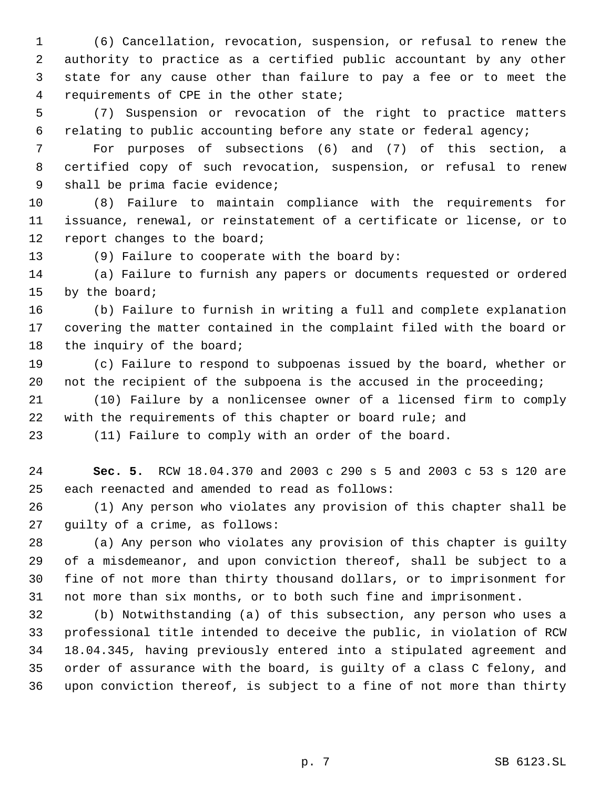(6) Cancellation, revocation, suspension, or refusal to renew the authority to practice as a certified public accountant by any other state for any cause other than failure to pay a fee or to meet the requirements of CPE in the other state;

 (7) Suspension or revocation of the right to practice matters relating to public accounting before any state or federal agency;

 For purposes of subsections (6) and (7) of this section, a certified copy of such revocation, suspension, or refusal to renew shall be prima facie evidence;

 (8) Failure to maintain compliance with the requirements for issuance, renewal, or reinstatement of a certificate or license, or to report changes to the board;

(9) Failure to cooperate with the board by:

 (a) Failure to furnish any papers or documents requested or ordered by the board;

 (b) Failure to furnish in writing a full and complete explanation covering the matter contained in the complaint filed with the board or 18 the inquiry of the board;

 (c) Failure to respond to subpoenas issued by the board, whether or not the recipient of the subpoena is the accused in the proceeding;

 (10) Failure by a nonlicensee owner of a licensed firm to comply with the requirements of this chapter or board rule; and

(11) Failure to comply with an order of the board.

 **Sec. 5.** RCW 18.04.370 and 2003 c 290 s 5 and 2003 c 53 s 120 are each reenacted and amended to read as follows:

 (1) Any person who violates any provision of this chapter shall be guilty of a crime, as follows:

 (a) Any person who violates any provision of this chapter is guilty of a misdemeanor, and upon conviction thereof, shall be subject to a fine of not more than thirty thousand dollars, or to imprisonment for not more than six months, or to both such fine and imprisonment.

 (b) Notwithstanding (a) of this subsection, any person who uses a professional title intended to deceive the public, in violation of RCW 18.04.345, having previously entered into a stipulated agreement and order of assurance with the board, is guilty of a class C felony, and upon conviction thereof, is subject to a fine of not more than thirty